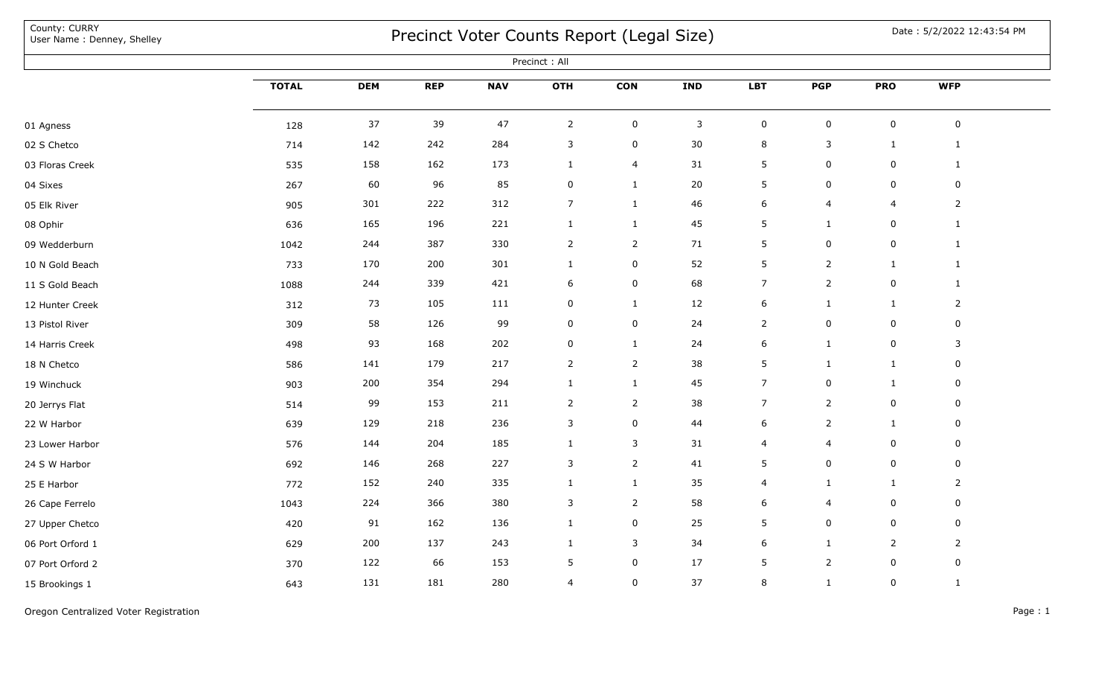| County: CURRY<br>User Name: Denney, Shelley | Precinct Voter Counts Report (Legal Size) |            |            |            |                  |                |              |                     |                | Date: 5/2/2022 12:43:54 PM |                |  |
|---------------------------------------------|-------------------------------------------|------------|------------|------------|------------------|----------------|--------------|---------------------|----------------|----------------------------|----------------|--|
|                                             |                                           |            |            |            | Precinct: All    |                |              |                     |                |                            |                |  |
|                                             | <b>TOTAL</b>                              | <b>DEM</b> | <b>REP</b> | <b>NAV</b> | <b>OTH</b>       | <b>CON</b>     | <b>IND</b>   | <b>LBT</b>          | <b>PGP</b>     | <b>PRO</b>                 | <b>WFP</b>     |  |
| 01 Agness                                   | 128                                       | 37         | 39         | 47         | $\overline{2}$   | $\pmb{0}$      | $\mathbf{3}$ | $\mathsf{O}\xspace$ | $\mathbf 0$    | $\pmb{0}$                  | $\mathbf 0$    |  |
| 02 S Chetco                                 | 714                                       | 142        | 242        | 284        | 3                | 0              | 30           | 8                   | 3              | $\mathbf{1}$               | $\mathbf{1}$   |  |
| 03 Floras Creek                             | 535                                       | 158        | 162        | 173        | $\mathbf{1}$     | $\overline{4}$ | 31           | 5                   | 0              | 0                          | $\mathbf{1}$   |  |
| 04 Sixes                                    | 267                                       | 60         | 96         | 85         | $\pmb{0}$        | $\mathbf{1}$   | 20           | 5                   | $\mathbf 0$    | $\pmb{0}$                  | $\mathbf 0$    |  |
| 05 Elk River                                | 905                                       | 301        | 222        | 312        | $\overline{7}$   | $\mathbf{1}$   | 46           | 6                   | 4              | 4                          | $\overline{2}$ |  |
| 08 Ophir                                    | 636                                       | 165        | 196        | 221        | $\mathbf{1}$     | $\mathbf{1}$   | 45           | 5                   | $\mathbf{1}$   | 0                          | $\mathbf{1}$   |  |
| 09 Wedderburn                               | 1042                                      | 244        | 387        | 330        | $\overline{2}$   | 2              | 71           | 5                   | $\mathsf 0$    | 0                          | $\mathbf{1}$   |  |
| 10 N Gold Beach                             | 733                                       | 170        | 200        | 301        | $\mathbf{1}$     | 0              | 52           | 5                   | $\overline{2}$ | $\mathbf{1}$               | $\mathbf{1}$   |  |
| 11 S Gold Beach                             | 1088                                      | 244        | 339        | 421        | 6                | 0              | 68           | $\overline{7}$      | $\overline{2}$ | 0                          | $\mathbf{1}$   |  |
| 12 Hunter Creek                             | 312                                       | 73         | 105        | 111        | 0                | $\mathbf{1}$   | 12           | 6                   | $\mathbf{1}$   | $\mathbf{1}$               | $\overline{2}$ |  |
| 13 Pistol River                             | 309                                       | 58         | 126        | 99         | $\boldsymbol{0}$ | 0              | 24           | $\overline{2}$      | 0              | 0                          | 0              |  |
| 14 Harris Creek                             | 498                                       | 93         | 168        | 202        | $\mathbf 0$      | $\mathbf{1}$   | 24           | 6                   | $\mathbf{1}$   | 0                          | 3              |  |
| 18 N Chetco                                 | 586                                       | 141        | 179        | 217        | $\overline{2}$   | $\overline{2}$ | 38           | 5                   | $\mathbf{1}$   | 1                          | 0              |  |
| 19 Winchuck                                 | 903                                       | 200        | 354        | 294        | $\mathbf{1}$     | $\mathbf{1}$   | 45           | 7                   | 0              | 1                          | 0              |  |
| 20 Jerrys Flat                              | 514                                       | 99         | 153        | 211        | $\overline{2}$   | $\overline{2}$ | 38           | $\overline{7}$      | $\overline{2}$ | $\mathbf 0$                | 0              |  |
| 22 W Harbor                                 | 639                                       | 129        | 218        | 236        | $\mathbf{3}$     | 0              | 44           | 6                   | $\overline{2}$ | $\mathbf{1}$               | $\mathbf 0$    |  |
| 23 Lower Harbor                             | 576                                       | 144        | 204        | 185        | $\mathbf{1}$     | 3              | 31           | $\overline{4}$      | $\overline{4}$ | 0                          | 0              |  |
| 24 S W Harbor                               | 692                                       | 146        | 268        | 227        | $\mathbf{3}$     | $\overline{2}$ | 41           | 5                   | $\mathsf 0$    | 0                          | $\mathbf 0$    |  |
| 25 E Harbor                                 | 772                                       | 152        | 240        | 335        | 1                | 1              | 35           | 4                   | 1              | 1                          | $\overline{2}$ |  |
| 26 Cape Ferrelo                             | 1043                                      | 224        | 366        | 380        | 3                | $\overline{2}$ | 58           | 6                   | 4              | 0                          | 0              |  |
| 27 Upper Chetco                             | 420                                       | 91         | 162        | 136        | $\mathbf{1}$     | 0              | 25           | 5                   | 0              | 0                          | $\mathbf 0$    |  |
| 06 Port Orford 1                            | 629                                       | 200        | 137        | 243        | $\mathbf{1}$     | 3              | 34           | 6                   | $\mathbf{1}$   | $\overline{2}$             | $\overline{2}$ |  |
| 07 Port Orford 2                            | 370                                       | 122        | 66         | 153        | 5                | 0              | 17           | 5                   | $\overline{2}$ | 0                          | $\mathbf 0$    |  |
| 15 Brookings 1                              | 643                                       | 131        | 181        | 280        | $\overline{4}$   | 0              | 37           | $\,8\,$             | $\mathbf{1}$   | 0                          | $\mathbf{1}$   |  |